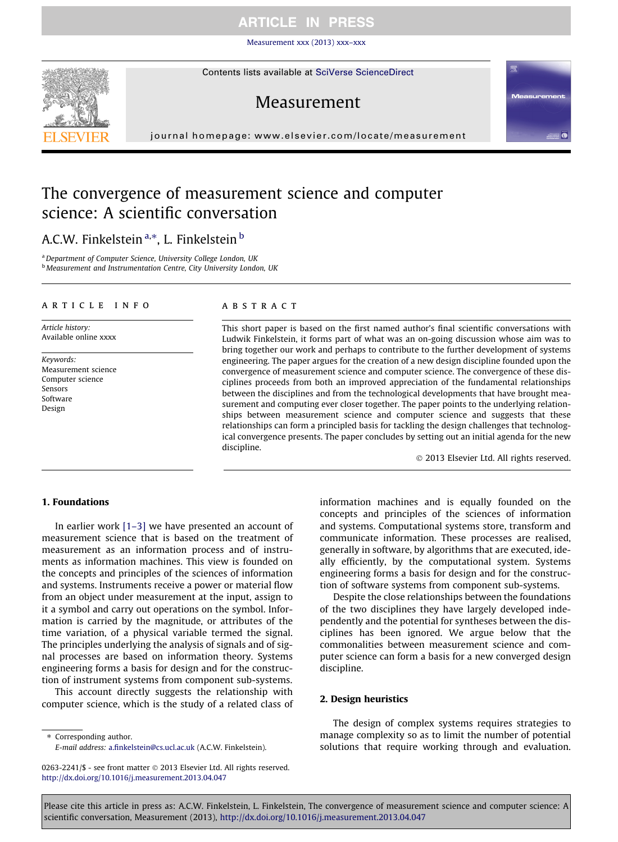### **ARTICLE IN PRESS**

[Measurement xxx \(2013\) xxx–xxx](http://dx.doi.org/10.1016/j.measurement.2013.04.047)

Contents lists available at [SciVerse ScienceDirect](http://www.sciencedirect.com/science/journal/02632241)



# Measurement

journal homepage: [www.elsevier.com/locate/measurement](http://www.elsevier.com/locate/measurement)

# The convergence of measurement science and computer science: A scientific conversation

### A.C.W. Finkelstein <sup>a,\*</sup>, L. Finkelstein <sup>b</sup>

a Department of Computer Science, University College London, UK **b** Measurement and Instrumentation Centre, City University London, UK

#### article info

Article history: Available online xxxx

Keywords: Measurement science Computer science Sensors Software Design

#### ABSTRACT

This short paper is based on the first named author's final scientific conversations with Ludwik Finkelstein, it forms part of what was an on-going discussion whose aim was to bring together our work and perhaps to contribute to the further development of systems engineering. The paper argues for the creation of a new design discipline founded upon the convergence of measurement science and computer science. The convergence of these disciplines proceeds from both an improved appreciation of the fundamental relationships between the disciplines and from the technological developments that have brought measurement and computing ever closer together. The paper points to the underlying relationships between measurement science and computer science and suggests that these relationships can form a principled basis for tackling the design challenges that technological convergence presents. The paper concludes by setting out an initial agenda for the new discipline.

- 2013 Elsevier Ltd. All rights reserved.

#### 1. Foundations

In earlier work [\[1–3\]](#page-3-0) we have presented an account of measurement science that is based on the treatment of measurement as an information process and of instruments as information machines. This view is founded on the concepts and principles of the sciences of information and systems. Instruments receive a power or material flow from an object under measurement at the input, assign to it a symbol and carry out operations on the symbol. Information is carried by the magnitude, or attributes of the time variation, of a physical variable termed the signal. The principles underlying the analysis of signals and of signal processes are based on information theory. Systems engineering forms a basis for design and for the construction of instrument systems from component sub-systems.

This account directly suggests the relationship with computer science, which is the study of a related class of

⇑ Corresponding author. E-mail address: [a.finkelstein@cs.ucl.ac.uk](mailto:a.finkelstein@cs.ucl.ac.uk) (A.C.W. Finkelstein).

information machines and is equally founded on the concepts and principles of the sciences of information and systems. Computational systems store, transform and communicate information. These processes are realised, generally in software, by algorithms that are executed, ideally efficiently, by the computational system. Systems engineering forms a basis for design and for the construction of software systems from component sub-systems.

Despite the close relationships between the foundations of the two disciplines they have largely developed independently and the potential for syntheses between the disciplines has been ignored. We argue below that the commonalities between measurement science and computer science can form a basis for a new converged design discipline.

#### 2. Design heuristics

The design of complex systems requires strategies to manage complexity so as to limit the number of potential solutions that require working through and evaluation.

<sup>0263-2241/\$ -</sup> see front matter © 2013 Elsevier Ltd. All rights reserved. <http://dx.doi.org/10.1016/j.measurement.2013.04.047>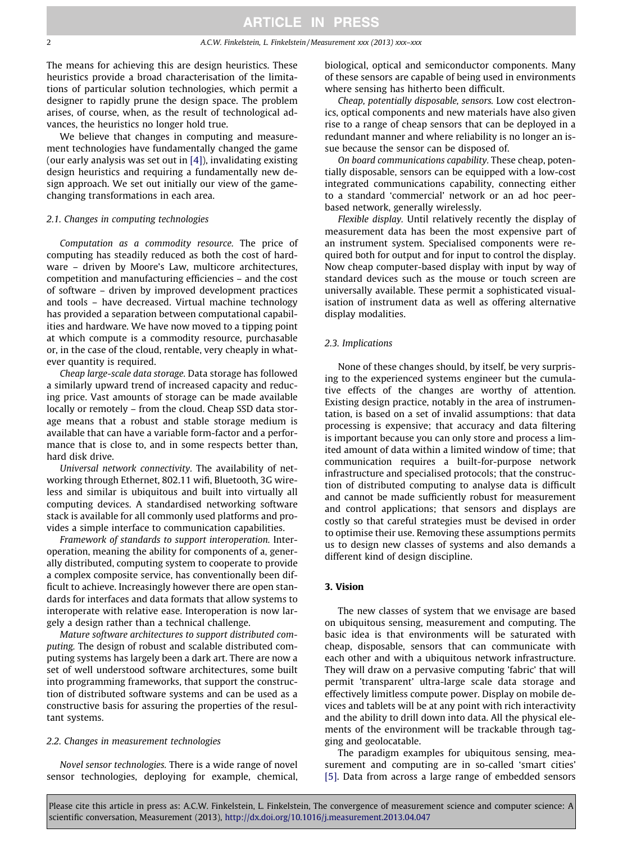The means for achieving this are design heuristics. These heuristics provide a broad characterisation of the limitations of particular solution technologies, which permit a designer to rapidly prune the design space. The problem arises, of course, when, as the result of technological advances, the heuristics no longer hold true.

We believe that changes in computing and measurement technologies have fundamentally changed the game (our early analysis was set out in [\[4\]](#page-3-0)), invalidating existing design heuristics and requiring a fundamentally new design approach. We set out initially our view of the gamechanging transformations in each area.

#### 2.1. Changes in computing technologies

Computation as a commodity resource. The price of computing has steadily reduced as both the cost of hardware – driven by Moore's Law, multicore architectures, competition and manufacturing efficiencies – and the cost of software – driven by improved development practices and tools – have decreased. Virtual machine technology has provided a separation between computational capabilities and hardware. We have now moved to a tipping point at which compute is a commodity resource, purchasable or, in the case of the cloud, rentable, very cheaply in whatever quantity is required.

Cheap large-scale data storage. Data storage has followed a similarly upward trend of increased capacity and reducing price. Vast amounts of storage can be made available locally or remotely – from the cloud. Cheap SSD data storage means that a robust and stable storage medium is available that can have a variable form-factor and a performance that is close to, and in some respects better than, hard disk drive.

Universal network connectivity. The availability of networking through Ethernet, 802.11 wifi, Bluetooth, 3G wireless and similar is ubiquitous and built into virtually all computing devices. A standardised networking software stack is available for all commonly used platforms and provides a simple interface to communication capabilities.

Framework of standards to support interoperation. Interoperation, meaning the ability for components of a, generally distributed, computing system to cooperate to provide a complex composite service, has conventionally been difficult to achieve. Increasingly however there are open standards for interfaces and data formats that allow systems to interoperate with relative ease. Interoperation is now largely a design rather than a technical challenge.

Mature software architectures to support distributed computing. The design of robust and scalable distributed computing systems has largely been a dark art. There are now a set of well understood software architectures, some built into programming frameworks, that support the construction of distributed software systems and can be used as a constructive basis for assuring the properties of the resultant systems.

#### 2.2. Changes in measurement technologies

Novel sensor technologies. There is a wide range of novel sensor technologies, deploying for example, chemical, biological, optical and semiconductor components. Many of these sensors are capable of being used in environments where sensing has hitherto been difficult.

Cheap, potentially disposable, sensors. Low cost electronics, optical components and new materials have also given rise to a range of cheap sensors that can be deployed in a redundant manner and where reliability is no longer an issue because the sensor can be disposed of.

On board communications capability. These cheap, potentially disposable, sensors can be equipped with a low-cost integrated communications capability, connecting either to a standard 'commercial' network or an ad hoc peerbased network, generally wirelessly.

Flexible display. Until relatively recently the display of measurement data has been the most expensive part of an instrument system. Specialised components were required both for output and for input to control the display. Now cheap computer-based display with input by way of standard devices such as the mouse or touch screen are universally available. These permit a sophisticated visualisation of instrument data as well as offering alternative display modalities.

#### 2.3. Implications

None of these changes should, by itself, be very surprising to the experienced systems engineer but the cumulative effects of the changes are worthy of attention. Existing design practice, notably in the area of instrumentation, is based on a set of invalid assumptions: that data processing is expensive; that accuracy and data filtering is important because you can only store and process a limited amount of data within a limited window of time; that communication requires a built-for-purpose network infrastructure and specialised protocols; that the construction of distributed computing to analyse data is difficult and cannot be made sufficiently robust for measurement and control applications; that sensors and displays are costly so that careful strategies must be devised in order to optimise their use. Removing these assumptions permits us to design new classes of systems and also demands a different kind of design discipline.

#### 3. Vision

The new classes of system that we envisage are based on ubiquitous sensing, measurement and computing. The basic idea is that environments will be saturated with cheap, disposable, sensors that can communicate with each other and with a ubiquitous network infrastructure. They will draw on a pervasive computing 'fabric' that will permit 'transparent' ultra-large scale data storage and effectively limitless compute power. Display on mobile devices and tablets will be at any point with rich interactivity and the ability to drill down into data. All the physical elements of the environment will be trackable through tagging and geolocatable.

The paradigm examples for ubiquitous sensing, measurement and computing are in so-called 'smart cities' [\[5\].](#page-3-0) Data from across a large range of embedded sensors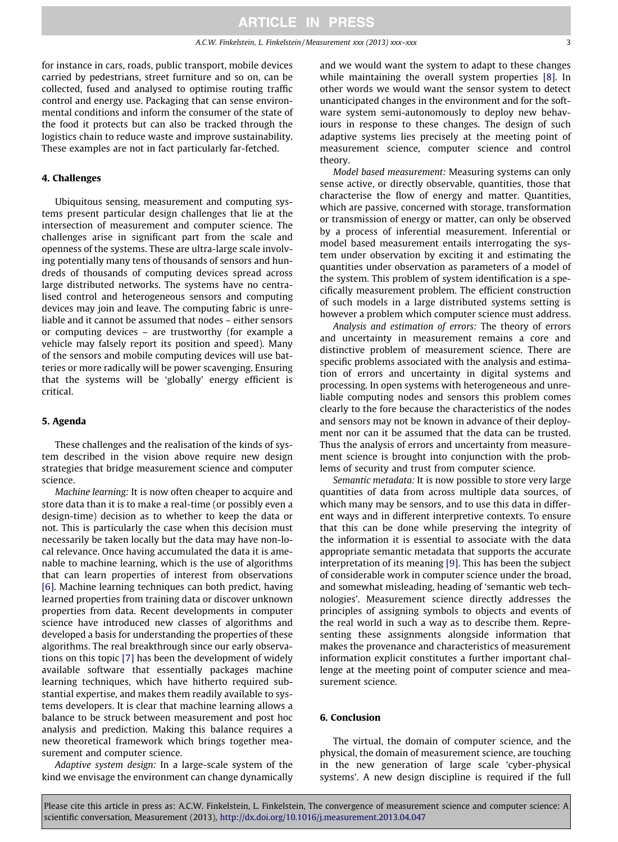for instance in cars, roads, public transport, mobile devices carried by pedestrians, street furniture and so on, can be collected, fused and analysed to optimise routing traffic control and energy use. Packaging that can sense environmental conditions and inform the consumer of the state of the food it protects but can also be tracked through the logistics chain to reduce waste and improve sustainability. These examples are not in fact particularly far-fetched.

#### 4. Challenges

Ubiquitous sensing, measurement and computing systems present particular design challenges that lie at the intersection of measurement and computer science. The challenges arise in significant part from the scale and openness of the systems. These are ultra-large scale involving potentially many tens of thousands of sensors and hundreds of thousands of computing devices spread across large distributed networks. The systems have no centralised control and heterogeneous sensors and computing devices may join and leave. The computing fabric is unreliable and it cannot be assumed that nodes – either sensors or computing devices – are trustworthy (for example a vehicle may falsely report its position and speed). Many of the sensors and mobile computing devices will use batteries or more radically will be power scavenging. Ensuring that the systems will be 'globally' energy efficient is critical.

#### 5. Agenda

These challenges and the realisation of the kinds of system described in the vision above require new design strategies that bridge measurement science and computer science.

Machine learning: It is now often cheaper to acquire and store data than it is to make a real-time (or possibly even a design-time) decision as to whether to keep the data or not. This is particularly the case when this decision must necessarily be taken locally but the data may have non-local relevance. Once having accumulated the data it is amenable to machine learning, which is the use of algorithms that can learn properties of interest from observations [\[6\].](#page-3-0) Machine learning techniques can both predict, having learned properties from training data or discover unknown properties from data. Recent developments in computer science have introduced new classes of algorithms and developed a basis for understanding the properties of these algorithms. The real breakthrough since our early observations on this topic [\[7\]](#page-3-0) has been the development of widely available software that essentially packages machine learning techniques, which have hitherto required substantial expertise, and makes them readily available to systems developers. It is clear that machine learning allows a balance to be struck between measurement and post hoc analysis and prediction. Making this balance requires a new theoretical framework which brings together measurement and computer science.

Adaptive system design: In a large-scale system of the kind we envisage the environment can change dynamically

and we would want the system to adapt to these changes while maintaining the overall system properties [\[8\]](#page-3-0). In other words we would want the sensor system to detect unanticipated changes in the environment and for the software system semi-autonomously to deploy new behaviours in response to these changes. The design of such adaptive systems lies precisely at the meeting point of measurement science, computer science and control theory.

Model based measurement: Measuring systems can only sense active, or directly observable, quantities, those that characterise the flow of energy and matter. Quantities, which are passive, concerned with storage, transformation or transmission of energy or matter, can only be observed by a process of inferential measurement. Inferential or model based measurement entails interrogating the system under observation by exciting it and estimating the quantities under observation as parameters of a model of the system. This problem of system identification is a specifically measurement problem. The efficient construction of such models in a large distributed systems setting is however a problem which computer science must address.

Analysis and estimation of errors: The theory of errors and uncertainty in measurement remains a core and distinctive problem of measurement science. There are specific problems associated with the analysis and estimation of errors and uncertainty in digital systems and processing. In open systems with heterogeneous and unreliable computing nodes and sensors this problem comes clearly to the fore because the characteristics of the nodes and sensors may not be known in advance of their deployment nor can it be assumed that the data can be trusted. Thus the analysis of errors and uncertainty from measurement science is brought into conjunction with the problems of security and trust from computer science.

Semantic metadata: It is now possible to store very large quantities of data from across multiple data sources, of which many may be sensors, and to use this data in different ways and in different interpretive contexts. To ensure that this can be done while preserving the integrity of the information it is essential to associate with the data appropriate semantic metadata that supports the accurate interpretation of its meaning [\[9\].](#page-3-0) This has been the subject of considerable work in computer science under the broad, and somewhat misleading, heading of 'semantic web technologies'. Measurement science directly addresses the principles of assigning symbols to objects and events of the real world in such a way as to describe them. Representing these assignments alongside information that makes the provenance and characteristics of measurement information explicit constitutes a further important challenge at the meeting point of computer science and measurement science.

#### 6. Conclusion

The virtual, the domain of computer science, and the physical, the domain of measurement science, are touching in the new generation of large scale 'cyber-physical systems'. A new design discipline is required if the full